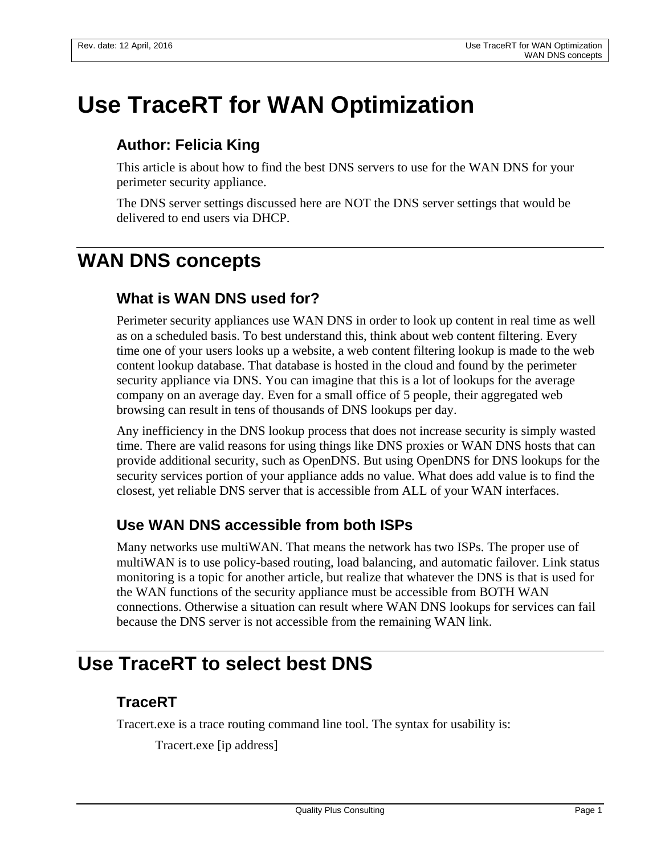# **Use TraceRT for WAN Optimization**

#### **Author: Felicia King**

This article is about how to find the best DNS servers to use for the WAN DNS for your perimeter security appliance.

The DNS server settings discussed here are NOT the DNS server settings that would be delivered to end users via DHCP.

## **WAN DNS concepts**

#### **What is WAN DNS used for?**

Perimeter security appliances use WAN DNS in order to look up content in real time as well as on a scheduled basis. To best understand this, think about web content filtering. Every time one of your users looks up a website, a web content filtering lookup is made to the web content lookup database. That database is hosted in the cloud and found by the perimeter security appliance via DNS. You can imagine that this is a lot of lookups for the average company on an average day. Even for a small office of 5 people, their aggregated web browsing can result in tens of thousands of DNS lookups per day.

Any inefficiency in the DNS lookup process that does not increase security is simply wasted time. There are valid reasons for using things like DNS proxies or WAN DNS hosts that can provide additional security, such as OpenDNS. But using OpenDNS for DNS lookups for the security services portion of your appliance adds no value. What does add value is to find the closest, yet reliable DNS server that is accessible from ALL of your WAN interfaces.

#### **Use WAN DNS accessible from both ISPs**

Many networks use multiWAN. That means the network has two ISPs. The proper use of multiWAN is to use policy-based routing, load balancing, and automatic failover. Link status monitoring is a topic for another article, but realize that whatever the DNS is that is used for the WAN functions of the security appliance must be accessible from BOTH WAN connections. Otherwise a situation can result where WAN DNS lookups for services can fail because the DNS server is not accessible from the remaining WAN link.

### **Use TraceRT to select best DNS**

#### **TraceRT**

Tracert.exe is a trace routing command line tool. The syntax for usability is:

Tracert.exe [ip address]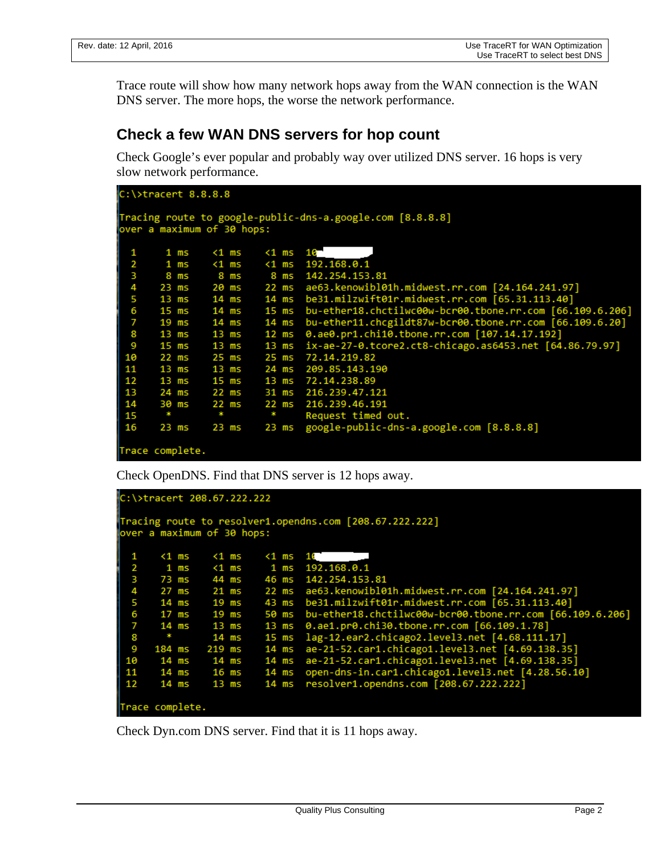Trace route will show how many network hops away from the WAN connection is the WAN DNS server. The more hops, the worse the network performance.

#### **Check a few WAN DNS servers for hop count**

Check Google's ever popular and probably way over utilized DNS server. 16 hops is very slow network performance.

| $C:\$ : tracert 8.8.8.8                                   |                 |              |             |                                                                   |  |  |  |  |  |  |
|-----------------------------------------------------------|-----------------|--------------|-------------|-------------------------------------------------------------------|--|--|--|--|--|--|
| Tracing route to google-public-dns-a.google.com [8.8.8.8] |                 |              |             |                                                                   |  |  |  |  |  |  |
| over a maximum of 30 hops:                                |                 |              |             |                                                                   |  |  |  |  |  |  |
|                                                           |                 |              |             |                                                                   |  |  |  |  |  |  |
| 1                                                         | $1 \text{ ms}$  | $1$ ms       | $1$ ms $10$ |                                                                   |  |  |  |  |  |  |
| $\overline{2}$                                            | 1 ms            | <1 ms        |             | $\{1 \text{ ms } 192.168.0.1\}$                                   |  |  |  |  |  |  |
| з                                                         | 8 ms            |              |             | 8 ms 8 ms 142.254.153.81                                          |  |  |  |  |  |  |
| 4                                                         |                 |              |             | 23 ms 20 ms 22 ms ae63.kenowibl01h.midwest.rr.com [24.164.241.97] |  |  |  |  |  |  |
| 5                                                         |                 | 13 ms  14 ms |             | 14 ms be31.milzwift01r.midwest.rr.com [65.31.113.40]              |  |  |  |  |  |  |
| 6                                                         | $15$ ms         | 14 ms        |             | 15 ms bu-ether18.chctilwc00w-bcr00.tbone.rr.com [66.109.6.206]    |  |  |  |  |  |  |
| 7                                                         | $19$ ms         | 14 ms        | $14$ ms     | bu-ether11.chcgildt87w-bcr00.tbone.rr.com [66.109.6.20]           |  |  |  |  |  |  |
| 8                                                         | 13 ms           | 13 ms        | $12$ ms     | 0.ae0.pr1.chi10.tbone.rr.com [107.14.17.192]                      |  |  |  |  |  |  |
| 9                                                         |                 |              |             | 13 ms ix-ae-27-0.tcore2.ct8-chicago.as6453.net [64.86.79.97]      |  |  |  |  |  |  |
| 10                                                        |                 | 22 ms 25 ms  |             | 25 ms 72.14.219.82                                                |  |  |  |  |  |  |
| 11                                                        | 13 ms           | 13 ms        |             | 24 ms 209.85.143.190                                              |  |  |  |  |  |  |
| 12                                                        | 13 ms           | 15 ms        |             | 13 ms 72.14.238.89                                                |  |  |  |  |  |  |
| 13                                                        | 24 ms           | 22 ms        |             | 31 ms 216.239.47.121                                              |  |  |  |  |  |  |
| 14                                                        | 30 ms           | 22 ms        |             | 22 ms 216.239.46.191                                              |  |  |  |  |  |  |
| 15                                                        | o pr            | <b>SEC</b>   | ×           | Request timed out.                                                |  |  |  |  |  |  |
| 16                                                        | $23$ ms         | $23$ ms      | 23 ms       | google-public-dns-a.google.com [8.8.8.8]                          |  |  |  |  |  |  |
|                                                           |                 |              |             |                                                                   |  |  |  |  |  |  |
|                                                           | Trace complete. |              |             |                                                                   |  |  |  |  |  |  |

Check OpenDNS. Find that DNS server is 12 hops away.

```
C:\>tracert 208.67.222.222
Tracing route to resolver1.opendns.com [208.67.222.222]
over a maximum of 30 hops:
   1
          < 1 ms
                        <sub>1</sub> ms</sub>
                                      <sub>1</sub> ms</sub>
                                                 16
           1 \text{ ms}< 1 ms
                                       1 \text{ ms}192.168.0.1
   23456789
                        44 ms
                                                142.254.153.81
          73 ms
                                      46 ms
          27 ms
                        21 ms
                                      22 msae63.kenowibl01h.midwest.rr.com [24.164.241.97]
                                                 be31.milzwift01r.midwest.rr.com [65.31.113.40]
          14 ms
                        19 ms
                                      43 ms
                                                bu-ether18.chctilwc00w-bcr00.tbone.rr.com [66.109.6.206]<br>0.ae1.pr0.chi30.tbone.rr.com [66.109.1.78]
                        19 ms
                                      50 ms
          17 ms
                                      13 ms14 ms
                        13 ms
                                                d.ae1.pro.cn150.toone.rr.com [00.109.1.76]<br>lag-12.ear2.chicago2.level3.net [4.68.111.17]<br>ae-21-52.car1.chicago1.level3.net [4.69.138.35]<br>ae-21-52.car1.chicago1.level3.net [4.69.138.35]<br>open-dns-in.car1.chicago1.level3.net 
                        14 ms
                                      15 ms
         184 ms
                                      14 ms
                       219 ms
  10
          14 ms
                        14 ms
                                      14 ms
  11\,14 ms
                        16 ms
                                      14 ms
 12
          14 ms
                        13 ms
                                                 resolver1.opendns.com [208.67.222.222]
                                      14 ms
Trace complete.
```
Check Dyn.com DNS server. Find that it is 11 hops away.